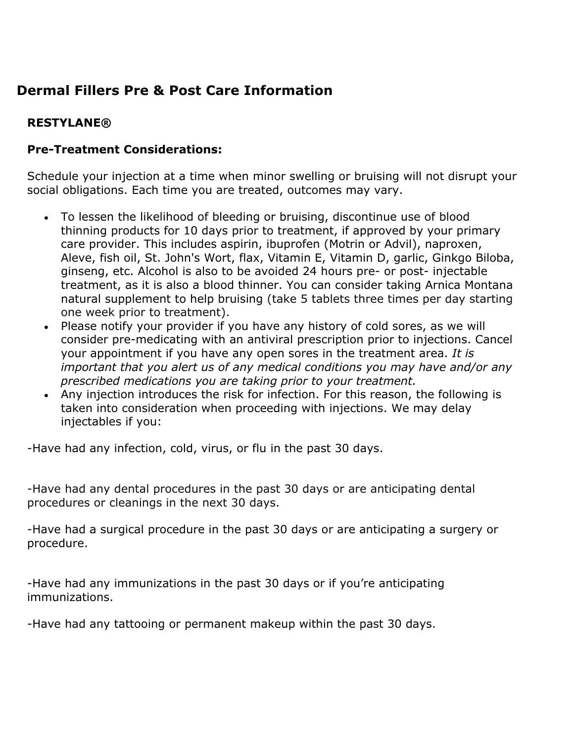# **Dermal Fillers Pre & Post Care Information**

## **RESTYLANE®**

#### **Pre-Treatment Considerations:**

Schedule your injection at a time when minor swelling or bruising will not disrupt your social obligations. Each time you are treated, outcomes may vary.

- To lessen the likelihood of bleeding or bruising, discontinue use of blood thinning products for 10 days prior to treatment, if approved by your primary care provider. This includes aspirin, ibuprofen (Motrin or Advil), naproxen, Aleve, fish oil, St. John's Wort, flax, Vitamin E, Vitamin D, garlic, Ginkgo Biloba, ginseng, etc. Alcohol is also to be avoided 24 hours pre- or post- injectable treatment, as it is also a blood thinner. You can consider taking Arnica Montana natural supplement to help bruising (take 5 tablets three times per day starting one week prior to treatment).
- Please notify your provider if you have any history of cold sores, as we will consider pre-medicating with an antiviral prescription prior to injections. Cancel your appointment if you have any open sores in the treatment area. *It is important that you alert us of any medical conditions you may have and/or any prescribed medications you are taking prior to your treatment.*
- Any injection introduces the risk for infection. For this reason, the following is taken into consideration when proceeding with injections. We may delay injectables if you:

-Have had any infection, cold, virus, or flu in the past 30 days.

-Have had any dental procedures in the past 30 days or are anticipating dental procedures or cleanings in the next 30 days.

-Have had a surgical procedure in the past 30 days or are anticipating a surgery or procedure.

-Have had any immunizations in the past 30 days or if you're anticipating immunizations.

-Have had any tattooing or permanent makeup within the past 30 days.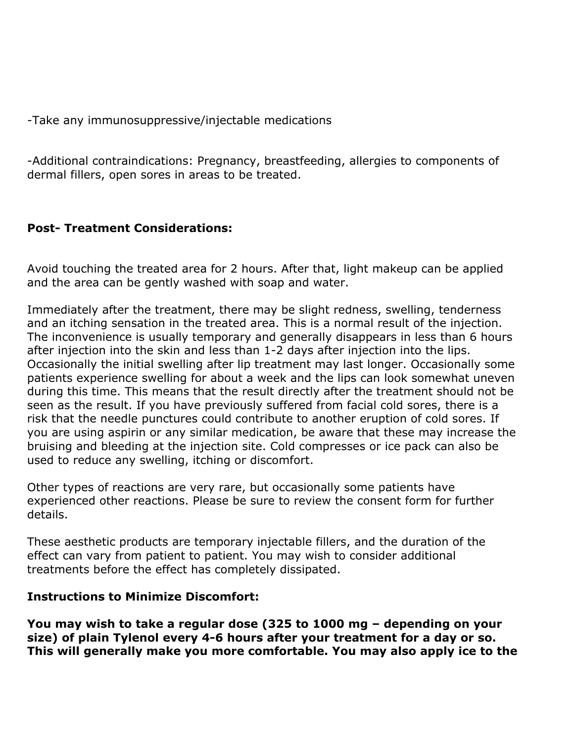-Take any immunosuppressive/injectable medications

-Additional contraindications: Pregnancy, breastfeeding, allergies to components of dermal fillers, open sores in areas to be treated.

### **Post- Treatment Considerations:**

Avoid touching the treated area for 2 hours. After that, light makeup can be applied and the area can be gently washed with soap and water.

Immediately after the treatment, there may be slight redness, swelling, tenderness and an itching sensation in the treated area. This is a normal result of the injection. The inconvenience is usually temporary and generally disappears in less than 6 hours after injection into the skin and less than 1-2 days after injection into the lips. Occasionally the initial swelling after lip treatment may last longer. Occasionally some patients experience swelling for about a week and the lips can look somewhat uneven during this time. This means that the result directly after the treatment should not be seen as the result. If you have previously suffered from facial cold sores, there is a risk that the needle punctures could contribute to another eruption of cold sores. If you are using aspirin or any similar medication, be aware that these may increase the bruising and bleeding at the injection site. Cold compresses or ice pack can also be used to reduce any swelling, itching or discomfort.

Other types of reactions are very rare, but occasionally some patients have experienced other reactions. Please be sure to review the consent form for further details.

These aesthetic products are temporary injectable fillers, and the duration of the effect can vary from patient to patient. You may wish to consider additional treatments before the effect has completely dissipated.

#### **Instructions to Minimize Discomfort:**

**You may wish to take a regular dose (325 to 1000 mg – depending on your size) of plain Tylenol every 4-6 hours after your treatment for a day or so. This will generally make you more comfortable. You may also apply ice to the**